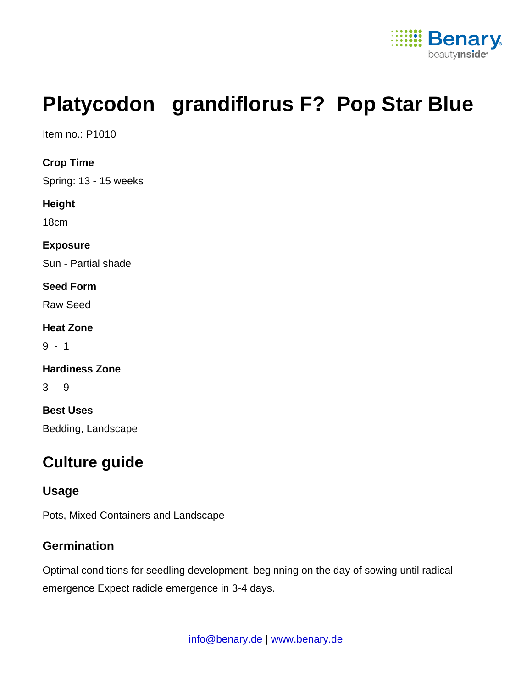

# Platycodon grandiflorus F? Pop Star Blue

Item no.: P1010

Crop Time

Spring: 13 - 15 weeks

Height

18cm

Exposure

Sun - Partial shade

Seed Form

Raw Seed

Heat Zone

9 - 1

Hardiness Zone

3 - 9

Best Uses Bedding, Landscape

## Culture guide

#### Usage

Pots, Mixed Containers and Landscape

#### **Germination**

Optimal conditions for seedling development, beginning on the day of sowing until radical emergence Expect radicle emergence in 3-4 days.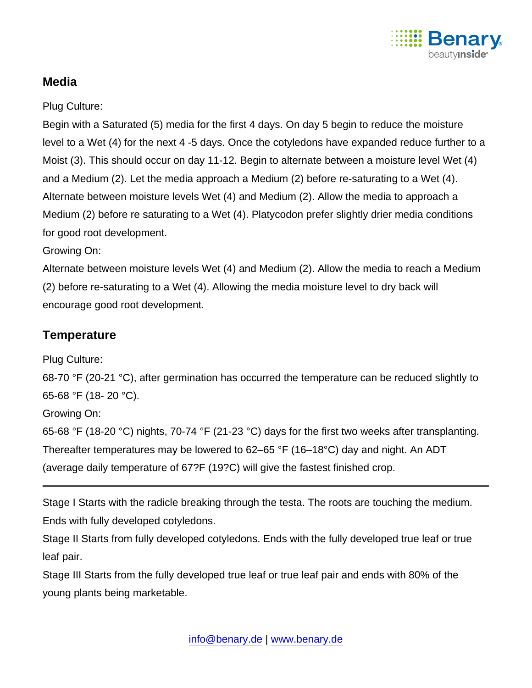

### Media

Plug Culture:

Begin with a Saturated (5) media for the first 4 days. On day 5 begin to reduce the moisture level to a Wet (4) for the next 4 -5 days. Once the cotyledons have expanded reduce further to a Moist (3). This should occur on day 11-12. Begin to alternate between a moisture level Wet (4) and a Medium (2). Let the media approach a Medium (2) before re-saturating to a Wet (4). Alternate between moisture levels Wet (4) and Medium (2). Allow the media to approach a Medium (2) before re saturating to a Wet (4). Platycodon prefer slightly drier media conditions for good root development.

Growing On:

Alternate between moisture levels Wet (4) and Medium (2). Allow the media to reach a Medium (2) before re-saturating to a Wet (4). Allowing the media moisture level to dry back will encourage good root development.

#### **Temperature**

Plug Culture:

68-70 °F (20-21 °C), after germination has occurred the temperature can be reduced slightly to 65-68 °F (18- 20 °C).

Growing On:

65-68 °F (18-20 °C) nights, 70-74 °F (21-23 °C) days for the first two weeks after transplanting. Thereafter temperatures may be lowered to 62–65 °F (16–18°C) day and night. An ADT (average daily temperature of 67?F (19?C) will give the fastest finished crop.

Stage I Starts with the radicle breaking through the testa. The roots are touching the medium. Ends with fully developed cotyledons.

Stage II Starts from fully developed cotyledons. Ends with the fully developed true leaf or true leaf pair.

Stage III Starts from the fully developed true leaf or true leaf pair and ends with 80% of the young plants being marketable.